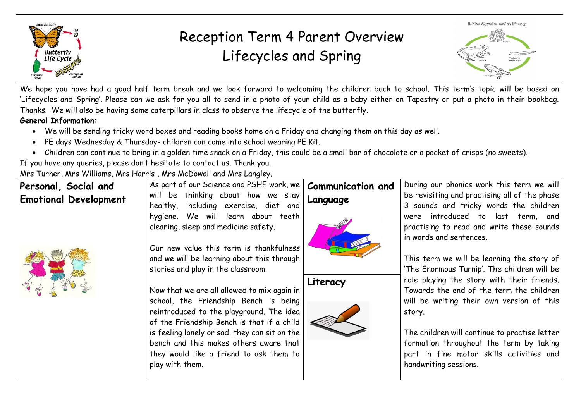

## Reception Term 4 Parent Overview Lifecycles and Spring



We hope you have had a good half term break and we look forward to welcoming the children back to school. This term's topic will be based on 'Lifecycles and Spring'. Please can we ask for you all to send in a photo of your child as a baby either on Tapestry or put a photo in their bookbag. Thanks. We will also be having some caterpillars in class to observe the lifecycle of the butterfly. **General Information:** 

- We will be sending tricky word boxes and reading books home on a Friday and changing them on this day as well.
- PE days Wednesday & Thursday- children can come into school wearing PE Kit.
- Children can continue to bring in a golden time snack on a Friday, this could be a small bar of chocolate or a packet of crisps (no sweets).

If you have any queries, please don't hesitate to contact us. Thank you.

Mrs Turner, Mrs Williams, Mrs Harris , Mrs McDowall and Mrs Langley.

| Personal, Social and<br><b>Emotional Development</b> | As part of our Science and PSHE work, we<br>will be thinking about how we stay<br>healthy, including exercise, diet and                                                        | <b>Communication and</b><br>Language | During our phonics work this term we will<br>be revisiting and practising all of the phase<br>3 sounds and tricky words the children                          |
|------------------------------------------------------|--------------------------------------------------------------------------------------------------------------------------------------------------------------------------------|--------------------------------------|---------------------------------------------------------------------------------------------------------------------------------------------------------------|
|                                                      | hygiene. We will learn about teeth<br>cleaning, sleep and medicine safety.<br>Our new value this term is thankfulness                                                          |                                      | were introduced to last term, and<br>practising to read and write these sounds<br>in words and sentences.                                                     |
|                                                      | and we will be learning about this through<br>stories and play in the classroom.                                                                                               | Literacy                             | This term we will be learning the story of<br>'The Enormous Turnip'. The children will be<br>role playing the story with their friends.                       |
|                                                      | Now that we are all allowed to mix again in<br>school, the Friendship Bench is being<br>reintroduced to the playground. The idea<br>of the Friendship Bench is that if a child |                                      | Towards the end of the term the children<br>will be writing their own version of this<br>story.                                                               |
|                                                      | is feeling lonely or sad, they can sit on the<br>bench and this makes others aware that<br>they would like a friend to ask them to<br>play with them.                          |                                      | The children will continue to practise letter<br>formation throughout the term by taking<br>part in fine motor skills activities and<br>handwriting sessions. |